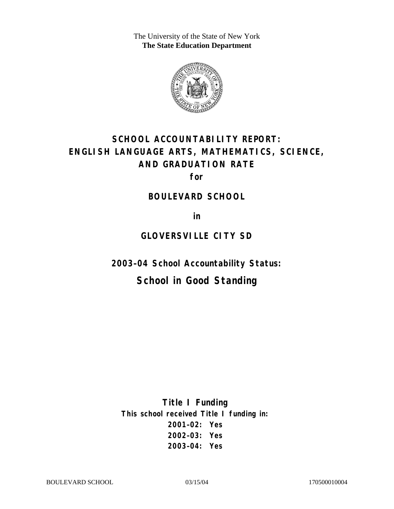The University of the State of New York **The State Education Department** 



# **SCHOOL ACCOUNTABILITY REPORT: ENGLISH LANGUAGE ARTS, MATHEMATICS, SCIENCE, AND GRADUATION RATE**

**for** 

#### **BOULEVARD SCHOOL**

**in** 

# **GLOVERSVILLE CITY SD**

**2003–04 School Accountability Status:** 

# **School in Good Standing**

**Title I Funding This school received Title I funding in: 2001–02: Yes 2002–03: Yes 2003–04: Yes**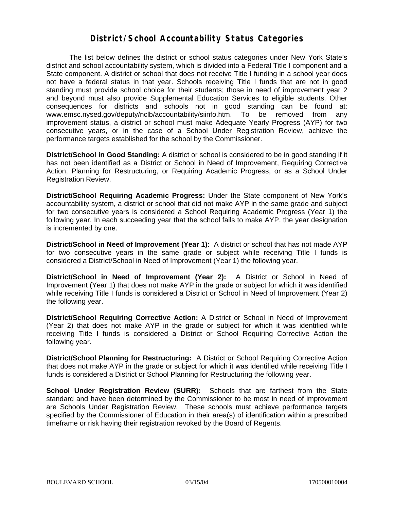#### **District/School Accountability Status Categories**

The list below defines the district or school status categories under New York State's district and school accountability system, which is divided into a Federal Title I component and a State component. A district or school that does not receive Title I funding in a school year does not have a federal status in that year. Schools receiving Title I funds that are not in good standing must provide school choice for their students; those in need of improvement year 2 and beyond must also provide Supplemental Education Services to eligible students. Other consequences for districts and schools not in good standing can be found at: www.emsc.nysed.gov/deputy/nclb/accountability/siinfo.htm. To be removed from any improvement status, a district or school must make Adequate Yearly Progress (AYP) for two consecutive years, or in the case of a School Under Registration Review, achieve the performance targets established for the school by the Commissioner.

**District/School in Good Standing:** A district or school is considered to be in good standing if it has not been identified as a District or School in Need of Improvement, Requiring Corrective Action, Planning for Restructuring, or Requiring Academic Progress, or as a School Under Registration Review.

**District/School Requiring Academic Progress:** Under the State component of New York's accountability system, a district or school that did not make AYP in the same grade and subject for two consecutive years is considered a School Requiring Academic Progress (Year 1) the following year. In each succeeding year that the school fails to make AYP, the year designation is incremented by one.

**District/School in Need of Improvement (Year 1):** A district or school that has not made AYP for two consecutive years in the same grade or subject while receiving Title I funds is considered a District/School in Need of Improvement (Year 1) the following year.

**District/School in Need of Improvement (Year 2):** A District or School in Need of Improvement (Year 1) that does not make AYP in the grade or subject for which it was identified while receiving Title I funds is considered a District or School in Need of Improvement (Year 2) the following year.

**District/School Requiring Corrective Action:** A District or School in Need of Improvement (Year 2) that does not make AYP in the grade or subject for which it was identified while receiving Title I funds is considered a District or School Requiring Corrective Action the following year.

**District/School Planning for Restructuring:** A District or School Requiring Corrective Action that does not make AYP in the grade or subject for which it was identified while receiving Title I funds is considered a District or School Planning for Restructuring the following year.

**School Under Registration Review (SURR):** Schools that are farthest from the State standard and have been determined by the Commissioner to be most in need of improvement are Schools Under Registration Review. These schools must achieve performance targets specified by the Commissioner of Education in their area(s) of identification within a prescribed timeframe or risk having their registration revoked by the Board of Regents.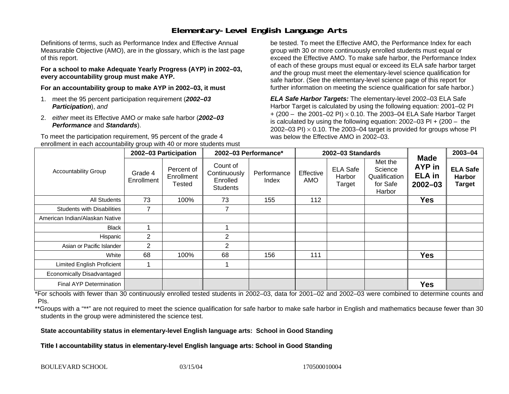## **Elementary-Level English Language Arts**

Definitions of terms, such as Performance Index and Effective Annual Measurable Objective (AMO), are in the glossary, which is the last page of this report.

**For a school to make Adequate Yearly Progress (AYP) in 2002–03, every accountability group must make AYP.** 

**For an accountability group to make AYP in 2002–03, it must** 

- 1. meet the 95 percent participation requirement (*2002–03 Participation*), *and*
- 2. *either* meet its Effective AMO *or* make safe harbor (*2002–03 Performance* and *Standards*).

To meet the participation requirement, 95 percent of the grade 4 enrollment in each accountability group with 40 or more students must

be tested. To meet the Effective AMO, the Performance Index for each group with 30 or more continuously enrolled students must equal or exceed the Effective AMO. To make safe harbor, the Performance Index of each of these groups must equal or exceed its ELA safe harbor target *and* the group must meet the elementary-level science qualification for safe harbor. (See the elementary-level science page of this report for further information on meeting the science qualification for safe harbor.)

*ELA Safe Harbor Targets:* The elementary-level 2002–03 ELA Safe Harbor Target is calculated by using the following equation: 2001–02 PI + (200 – the 2001–02 PI) <sup>×</sup> 0.10. The 2003–04 ELA Safe Harbor Target is calculated by using the following equation: 2002–03 PI + (200 – the 2002–03 PI)  $\times$  0.10. The 2003–04 target is provided for groups whose PI was below the Effective AMO in 2002–03.

| <b>Accountability Group</b>       | 2002-03 Participation |                                           | 2002-03 Performance*                                    |                      | 2002-03 Standards |                                     |                                                           |                                                              | 2003-04                                           |
|-----------------------------------|-----------------------|-------------------------------------------|---------------------------------------------------------|----------------------|-------------------|-------------------------------------|-----------------------------------------------------------|--------------------------------------------------------------|---------------------------------------------------|
|                                   | Grade 4<br>Enrollment | Percent of<br>Enrollment<br><b>Tested</b> | Count of<br>Continuously<br>Enrolled<br><b>Students</b> | Performance<br>Index | Effective<br>AMO  | <b>ELA Safe</b><br>Harbor<br>Target | Met the<br>Science<br>Qualification<br>for Safe<br>Harbor | <b>Made</b><br><b>AYP</b> in<br><b>ELA</b> in<br>$2002 - 03$ | <b>ELA Safe</b><br><b>Harbor</b><br><b>Target</b> |
| All Students                      | 73                    | 100%                                      | 73                                                      | 155                  | 112               |                                     |                                                           | <b>Yes</b>                                                   |                                                   |
| <b>Students with Disabilities</b> | 7                     |                                           | $\overline{7}$                                          |                      |                   |                                     |                                                           |                                                              |                                                   |
| American Indian/Alaskan Native    |                       |                                           |                                                         |                      |                   |                                     |                                                           |                                                              |                                                   |
| <b>Black</b>                      |                       |                                           |                                                         |                      |                   |                                     |                                                           |                                                              |                                                   |
| Hispanic                          | $\overline{2}$        |                                           | $\overline{2}$                                          |                      |                   |                                     |                                                           |                                                              |                                                   |
| Asian or Pacific Islander         | $\overline{2}$        |                                           | 2                                                       |                      |                   |                                     |                                                           |                                                              |                                                   |
| White                             | 68                    | 100%                                      | 68                                                      | 156                  | 111               |                                     |                                                           | <b>Yes</b>                                                   |                                                   |
| Limited English Proficient        |                       |                                           |                                                         |                      |                   |                                     |                                                           |                                                              |                                                   |
| Economically Disadvantaged        |                       |                                           |                                                         |                      |                   |                                     |                                                           |                                                              |                                                   |
| <b>Final AYP Determination</b>    |                       |                                           |                                                         |                      |                   |                                     |                                                           | <b>Yes</b>                                                   |                                                   |

\*For schools with fewer than 30 continuously enrolled tested students in 2002–03, data for 2001–02 and 2002–03 were combined to determine counts and PIs.

\*\*Groups with a "\*\*" are not required to meet the science qualification for safe harbor to make safe harbor in English and mathematics because fewer than 30 students in the group were administered the science test.

**State accountability status in elementary-level English language arts: School in Good Standing** 

Title I accountability status in elementary-level English language arts: School in Good Standing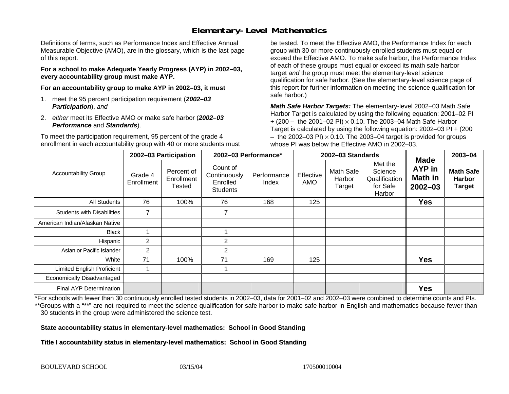## **Elementary-Level Mathematics**

Definitions of terms, such as Performance Index and Effective Annual Measurable Objective (AMO), are in the glossary, which is the last page of this report.

**For a school to make Adequate Yearly Progress (AYP) in 2002–03, every accountability group must make AYP.** 

**For an accountability group to make AYP in 2002–03, it must** 

- 1. meet the 95 percent participation requirement (*2002–03 Participation*), *and*
- 2. *either* meet its Effective AMO *or* make safe harbor (*2002–03 Performance* and *Standards*).

To meet the participation requirement, 95 percent of the grade 4 enrollment in each accountability group with 40 or more students must

be tested. To meet the Effective AMO, the Performance Index for each group with 30 or more continuously enrolled students must equal or exceed the Effective AMO. To make safe harbor, the Performance Index of each of these groups must equal or exceed its math safe harbor target *and* the group must meet the elementary-level science qualification for safe harbor. (See the elementary-level science page of this report for further information on meeting the science qualification for safe harbor.)

*Math Safe Harbor Targets:* The elementary-level 2002–03 Math Safe Harbor Target is calculated by using the following equation: 2001–02 PI + (200 – the 2001–02 PI) × 0.10. The 2003–04 Math Safe Harbor Target is calculated by using the following equation: 2002–03 PI + (200  $-$  the 2002–03 PI)  $\times$  0.10. The 2003–04 target is provided for groups whose PI was below the Effective AMO in 2002–03.

| <b>Accountability Group</b>       | 2002-03 Participation |                                    | 2002-03 Performance*                                    |                      | 2002-03 Standards       |                               |                                                           |                                                 | 2003-04                                            |
|-----------------------------------|-----------------------|------------------------------------|---------------------------------------------------------|----------------------|-------------------------|-------------------------------|-----------------------------------------------------------|-------------------------------------------------|----------------------------------------------------|
|                                   | Grade 4<br>Enrollment | Percent of<br>Enrollment<br>Tested | Count of<br>Continuously<br>Enrolled<br><b>Students</b> | Performance<br>Index | Effective<br><b>AMO</b> | Math Safe<br>Harbor<br>Target | Met the<br>Science<br>Qualification<br>for Safe<br>Harbor | <b>Made</b><br>AYP in<br>Math in<br>$2002 - 03$ | <b>Math Safe</b><br><b>Harbor</b><br><b>Target</b> |
| All Students                      | 76                    | 100%                               | 76                                                      | 168                  | 125                     |                               |                                                           | Yes                                             |                                                    |
| <b>Students with Disabilities</b> | $\overline{ }$        |                                    | $\overline{7}$                                          |                      |                         |                               |                                                           |                                                 |                                                    |
| American Indian/Alaskan Native    |                       |                                    |                                                         |                      |                         |                               |                                                           |                                                 |                                                    |
| <b>Black</b>                      |                       |                                    |                                                         |                      |                         |                               |                                                           |                                                 |                                                    |
| Hispanic                          | $\overline{2}$        |                                    | $\overline{2}$                                          |                      |                         |                               |                                                           |                                                 |                                                    |
| Asian or Pacific Islander         | $\overline{2}$        |                                    | 2                                                       |                      |                         |                               |                                                           |                                                 |                                                    |
| White                             | 71                    | 100%                               | 71                                                      | 169                  | 125                     |                               |                                                           | <b>Yes</b>                                      |                                                    |
| Limited English Proficient        |                       |                                    |                                                         |                      |                         |                               |                                                           |                                                 |                                                    |
| Economically Disadvantaged        |                       |                                    |                                                         |                      |                         |                               |                                                           |                                                 |                                                    |
| <b>Final AYP Determination</b>    |                       |                                    |                                                         |                      |                         |                               |                                                           | <b>Yes</b>                                      |                                                    |

\*For schools with fewer than 30 continuously enrolled tested students in 2002–03, data for 2001–02 and 2002–03 were combined to determine counts and PIs. \*\*Groups with a "\*\*" are not required to meet the science qualification for safe harbor to make safe harbor in English and mathematics because fewer than 30 students in the group were administered the science test.

**State accountability status in elementary-level mathematics: School in Good Standing** 

Title I accountability status in elementary-level mathematics: School in Good Standing

BOULEVARD SCHOOL 03/15/04 03/15/04 170500010004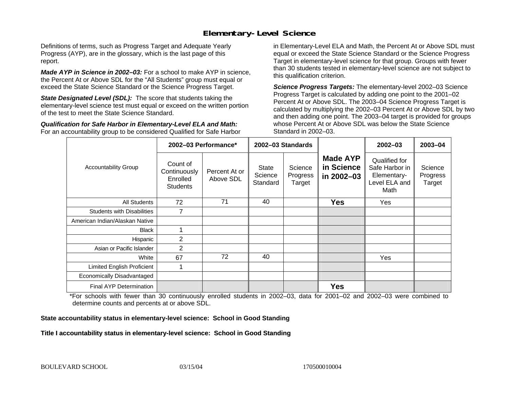### **Elementary-Level Science**

Definitions of terms, such as Progress Target and Adequate Yearly Progress (AYP), are in the glossary, which is the last page of this report.

*Made AYP in Science in 2002–03:* For a school to make AYP in science, the Percent At or Above SDL for the "All Students" group must equal or exceed the State Science Standard or the Science Progress Target.

**State Designated Level (SDL):** The score that students taking the elementary-level science test must equal or exceed on the written portion of the test to meet the State Science Standard.

*Qualification for Safe Harbor in Elementary-Level ELA and Math:* For an accountability group to be considered Qualified for Safe Harbor in Elementary-Level ELA and Math, the Percent At or Above SDL must equal or exceed the State Science Standard or the Science Progress Target in elementary-level science for that group. Groups with fewer than 30 students tested in elementary-level science are not subject to this qualification criterion.

*Science Progress Targets:* The elementary-level 2002–03 Science Progress Target is calculated by adding one point to the 2001–02 Percent At or Above SDL. The 2003–04 Science Progress Target is calculated by multiplying the 2002–03 Percent At or Above SDL by two and then adding one point. The 2003–04 target is provided for groups whose Percent At or Above SDL was below the State Science Standard in 2002–03.

|                                   |                                                         | 2002-03 Performance*       | 2002-03 Standards                   |                               |                                             | $2002 - 03$                                                             | $2003 - 04$                   |
|-----------------------------------|---------------------------------------------------------|----------------------------|-------------------------------------|-------------------------------|---------------------------------------------|-------------------------------------------------------------------------|-------------------------------|
| <b>Accountability Group</b>       | Count of<br>Continuously<br>Enrolled<br><b>Students</b> | Percent At or<br>Above SDL | <b>State</b><br>Science<br>Standard | Science<br>Progress<br>Target | <b>Made AYP</b><br>in Science<br>in 2002-03 | Qualified for<br>Safe Harbor in<br>Elementary-<br>Level ELA and<br>Math | Science<br>Progress<br>Target |
| All Students                      | 72                                                      | 71                         | 40                                  |                               | <b>Yes</b>                                  | Yes                                                                     |                               |
| <b>Students with Disabilities</b> | 7                                                       |                            |                                     |                               |                                             |                                                                         |                               |
| American Indian/Alaskan Native    |                                                         |                            |                                     |                               |                                             |                                                                         |                               |
| <b>Black</b>                      |                                                         |                            |                                     |                               |                                             |                                                                         |                               |
| Hispanic                          | 2                                                       |                            |                                     |                               |                                             |                                                                         |                               |
| Asian or Pacific Islander         | 2                                                       |                            |                                     |                               |                                             |                                                                         |                               |
| White                             | 67                                                      | 72                         | 40                                  |                               |                                             | Yes                                                                     |                               |
| Limited English Proficient        |                                                         |                            |                                     |                               |                                             |                                                                         |                               |
| Economically Disadvantaged        |                                                         |                            |                                     |                               |                                             |                                                                         |                               |
| <b>Final AYP Determination</b>    |                                                         |                            |                                     |                               | <b>Yes</b>                                  |                                                                         |                               |

\*For schools with fewer than 30 continuously enrolled students in 2002–03, data for 2001–02 and 2002–03 were combined to determine counts and percents at or above SDL.

#### **State accountability status in elementary-level science: School in Good Standing**

#### Title I accountability status in elementary-level science: School in Good Standing